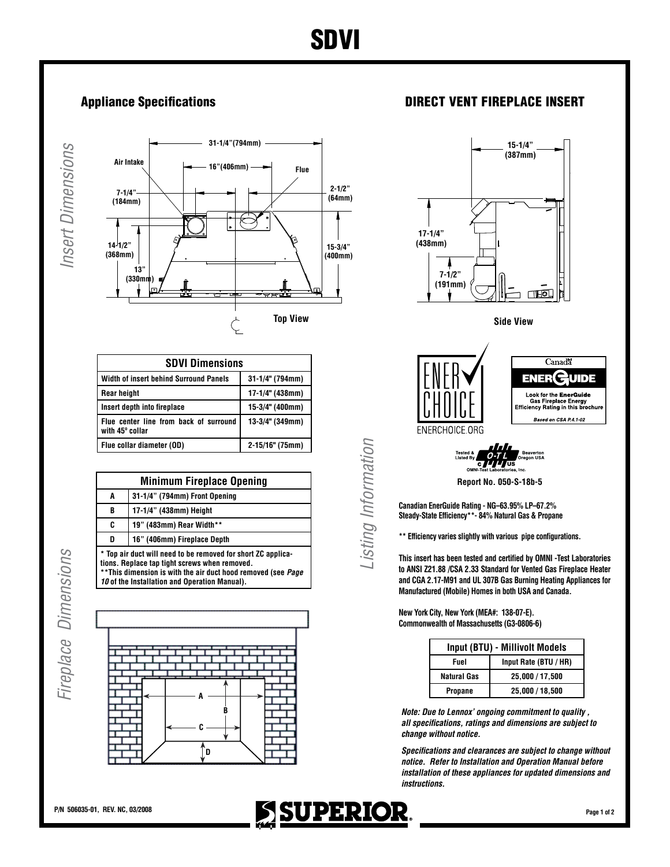**Insert Dimensions** *Insert Dimensions*



| <b>SDVI Dimensions</b>                                    |                   |  |
|-----------------------------------------------------------|-------------------|--|
| <b>Width of insert behind Surround Panels</b>             | 31-1/4" (794mm)   |  |
| <b>Rear height</b>                                        | $17-1/4"$ (438mm) |  |
| Insert depth into fireplace                               | 15-3/4" (400mm)   |  |
| Flue center line from back of surround<br>with 45° collar | 13-3/4" (349mm)   |  |
| Flue collar diameter (OD)                                 | 2-15/16" (75mm)   |  |

| <b>Minimum Fireplace Opening</b>                                                                                                                                                                                                |                               |  |
|---------------------------------------------------------------------------------------------------------------------------------------------------------------------------------------------------------------------------------|-------------------------------|--|
| A                                                                                                                                                                                                                               | 31-1/4" (794mm) Front Opening |  |
| B                                                                                                                                                                                                                               | 17-1/4" (438mm) Height        |  |
| C                                                                                                                                                                                                                               | 19" (483mm) Rear Width**      |  |
| D                                                                                                                                                                                                                               | 16" (406mm) Fireplace Depth   |  |
| * Top air duct will need to be removed for short ZC applica-<br>tions. Replace tap tight screws when removed.<br>** This dimension is with the air duct hood removed (see Page<br>10 of the Installation and Operation Manual). |                               |  |

Fireplace Dimensions *Fireplace Dimensions*



## Appliance Specifications **DIRECT VENT FIREPLACE INSERT**





**Report No. 050-S-18b-5**

**Canadian EnerGuide Rating - NG–63.95% LP–67.2% Steady-State Efficiency\*\*- 84% Natural Gas & Propane**

**\*\* Efficiency varies slightly with various pipe configurations.**

**This insert has been tested and certified by OMNI -Test Laboratories to ANSI Z21.88 /CSA 2.33 Standard for Vented Gas Fireplace Heater and CGA 2.17-M91 and UL 307B Gas Burning Heating Appliances for Manufactured (Mobile) Homes in both USA and Canada.**

**New York City, New York (MEA#: 138-07-E). Commonwealth of Massachusetts (G3-0806-6)**

| Input (BTU) - Millivolt Models |                       |  |
|--------------------------------|-----------------------|--|
| Fuel                           | Input Rate (BTU / HR) |  |
| <b>Natural Gas</b>             | 25,000 / 17,500       |  |
| Propane                        | 25,000 / 18,500       |  |

*Note: Due to Lennox' ongoing commitment to quality , all specifications, ratings and dimensions are subject to change without notice.*

*Specifications and clearances are subject to change without notice. Refer to Installation and Operation Manual before installation of these appliances for updated dimensions and instructions.*



*Listing Information*

Listing Information